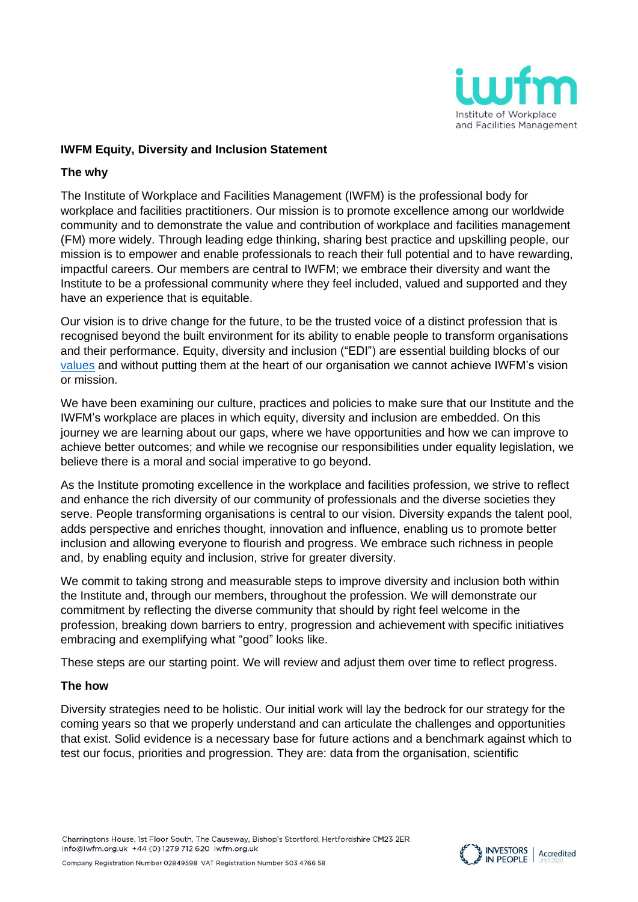

# **IWFM Equity, Diversity and Inclusion Statement**

#### **The why**

The Institute of Workplace and Facilities Management (IWFM) is the professional body for workplace and facilities practitioners. Our mission is to promote excellence among our worldwide community and to demonstrate the value and contribution of workplace and facilities management (FM) more widely. Through leading edge thinking, sharing best practice and upskilling people, our mission is to empower and enable professionals to reach their full potential and to have rewarding, impactful careers. Our members are central to IWFM; we embrace their diversity and want the Institute to be a professional community where they feel included, valued and supported and they have an experience that is equitable.

Our vision is to drive change for the future, to be the trusted voice of a distinct profession that is recognised beyond the built environment for its ability to enable people to transform organisations and their performance. Equity, diversity and inclusion ("EDI") are essential building blocks of our [values](https://www.iwfm.org.uk/about.html) and without putting them at the heart of our organisation we cannot achieve IWFM's vision or mission.

We have been examining our culture, practices and policies to make sure that our Institute and the IWFM's workplace are places in which equity, diversity and inclusion are embedded. On this journey we are learning about our gaps, where we have opportunities and how we can improve to achieve better outcomes; and while we recognise our responsibilities under equality legislation, we believe there is a moral and social imperative to go beyond.

As the Institute promoting excellence in the workplace and facilities profession, we strive to reflect and enhance the rich diversity of our community of professionals and the diverse societies they serve. People transforming organisations is central to our vision. Diversity expands the talent pool, adds perspective and enriches thought, innovation and influence, enabling us to promote better inclusion and allowing everyone to flourish and progress. We embrace such richness in people and, by enabling equity and inclusion, strive for greater diversity.

We commit to taking strong and measurable steps to improve diversity and inclusion both within the Institute and, through our members, throughout the profession. We will demonstrate our commitment by reflecting the diverse community that should by right feel welcome in the profession, breaking down barriers to entry, progression and achievement with specific initiatives embracing and exemplifying what "good" looks like.

These steps are our starting point. We will review and adjust them over time to reflect progress.

## **The how**

Diversity strategies need to be holistic. Our initial work will lay the bedrock for our strategy for the coming years so that we properly understand and can articulate the challenges and opportunities that exist. Solid evidence is a necessary base for future actions and a benchmark against which to test our focus, priorities and progression. They are: data from the organisation, scientific

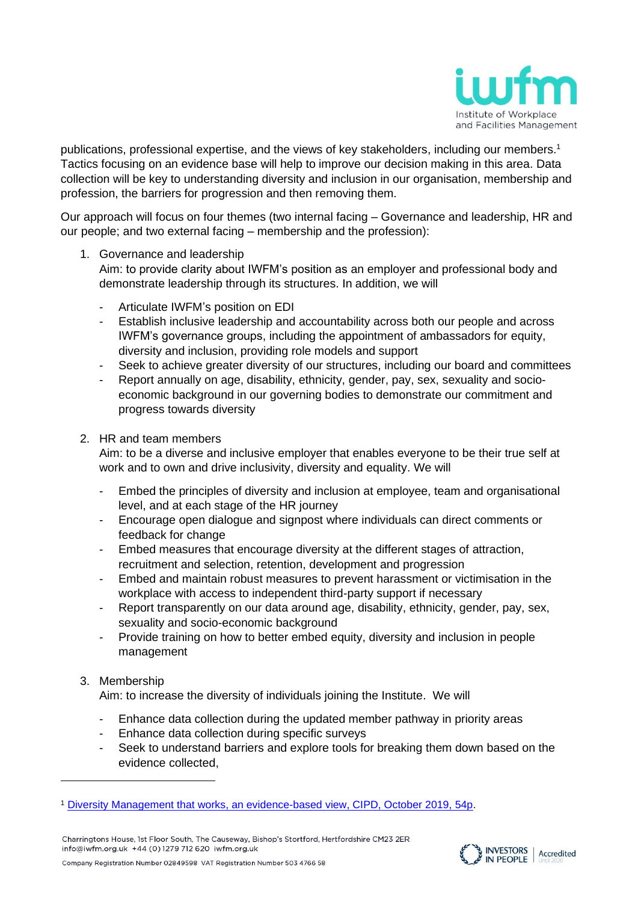

publications, professional expertise, and the views of key stakeholders, including our members. 1 Tactics focusing on an evidence base will help to improve our decision making in this area. Data collection will be key to understanding diversity and inclusion in our organisation, membership and profession, the barriers for progression and then removing them.

Our approach will focus on four themes (two internal facing – Governance and leadership, HR and our people; and two external facing – membership and the profession):

1. Governance and leadership

Aim: to provide clarity about IWFM's position as an employer and professional body and demonstrate leadership through its structures. In addition, we will

- Articulate IWFM's position on EDI
- Establish inclusive leadership and accountability across both our people and across IWFM's governance groups, including the appointment of ambassadors for equity, diversity and inclusion, providing role models and support
- Seek to achieve greater diversity of our structures, including our board and committees
- Report annually on age, disability, ethnicity, gender, pay, sex, sexuality and socioeconomic background in our governing bodies to demonstrate our commitment and progress towards diversity

#### 2. HR and team members

Aim: to be a diverse and inclusive employer that enables everyone to be their true self at work and to own and drive inclusivity, diversity and equality. We will

- Embed the principles of diversity and inclusion at employee, team and organisational level, and at each stage of the HR journey
- Encourage open dialogue and signpost where individuals can direct comments or feedback for change
- Embed measures that encourage diversity at the different stages of attraction, recruitment and selection, retention, development and progression
- Embed and maintain robust measures to prevent harassment or victimisation in the workplace with access to independent third-party support if necessary
- Report transparently on our data around age, disability, ethnicity, gender, pay, sex, sexuality and socio-economic background
- Provide training on how to better embed equity, diversity and inclusion in people management

## 3. Membership

Aim: to increase the diversity of individuals joining the Institute. We will

- Enhance data collection during the updated member pathway in priority areas
- Enhance data collection during specific surveys
- Seek to understand barriers and explore tools for breaking them down based on the evidence collected,





Company Registration Number 02849598 VAT Registration Number 503 4766 58

<sup>1</sup> [Diversity Management that works, an evidence-based view, CIPD, October 2019, 54p.](https://www.cipd.co.uk/Images/7926-diversity-and-inclusion-report-revised_tcm18-65334.pdf)